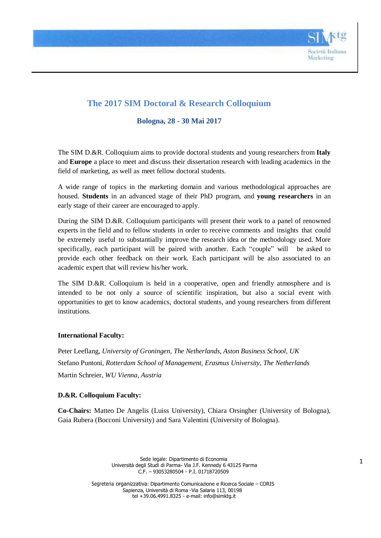

# **The 2017 SIM Doctoral & Research Colloquium**

**Bologna, 28 - 30 Mai 2017**

The SIM D.&R. Colloquium aims to provide doctoral students and young researchers from **Italy** and **Europe** a place to meet and discuss their dissertation research with leading academics in the field of marketing, as well as meet fellow doctoral students.

A wide range of topics in the marketing domain and various methodological approaches are housed. **Students** in an advanced stage of their PhD program, and **young researchers** in an early stage of their career are encouraged to apply.

During the SIM D.&R. Colloquium participants will present their work to a panel of renowned experts in the field and to fellow students in order to receive comments and insights that could be extremely useful to substantially improve the research idea or the methodology used. More specifically, each participant will be paired with another. Each "couple" will be asked to provide each other feedback on their work. Each participant will be also associated to an academic expert that will review his/her work.

The SIM D.&R. Colloquium is held in a cooperative, open and friendly atmosphere and is intended to be not only a source of scientific inspiration, but also a social event with opportunities to get to know academics, doctoral students, and young researchers from different institutions.

## **International Faculty:**

Peter Leeflang, *University of Groningen, The Netherlands, Aston Business School, UK* Stefano Puntoni, *Rotterdam School of Management, Erasmus University, The Netherlands* Martin Schreier, *WU Vienna, Austria*

## **D.&R. Colloquium Faculty:**

**Co-Chairs:** Matteo De Angelis (Luiss University), Chiara Orsingher (University of Bologna), Gaia Rubera (Bocconi University) and Sara Valentini (University of Bologna).

> Sede legale: Dipartimento di Economia Università degli Studi di Parma- Via J.F. Kennedy 6 43125 Parma C.F. – 93053280504 - P.I. 01718720509

Segreteria organizzativa: Dipartimento Comunicazione e Ricerca Sociale – CORIS Sapienza, Università di Roma -Via Salaria 113, 00198 tel +39.06.4991.8325 - e-mail: [info@simktg.it](mailto:info@simktg.it)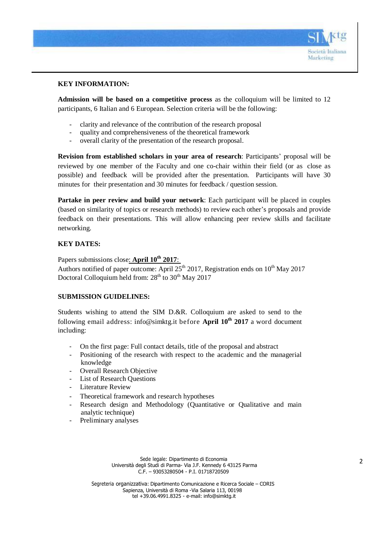

## **KEY INFORMATION:**

**Admission will be based on a competitive process** as the colloquium will be limited to 12 participants, 6 Italian and 6 European. Selection criteria will be the following:

- clarity and relevance of the contribution of the research proposal
- quality and comprehensiveness of the theoretical framework
- overall clarity of the presentation of the research proposal.

**Revision from established scholars in your area of research**: Participants' proposal will be reviewed by one member of the Faculty and one co-chair within their field (or as close as possible) and feedback will be provided after the presentation. Participants will have 30 minutes for their presentation and 30 minutes for feedback / question session.

**Partake in peer review and build your network**: Each participant will be placed in couples (based on similarity of topics or research methods) to review each other's proposals and provide feedback on their presentations. This will allow enhancing peer review skills and facilitate networking.

## **KEY DATES:**

Papers submissions close: **April 10th 2017**:

Authors notified of paper outcome: April  $25<sup>th</sup>$  2017, Registration ends on  $10<sup>th</sup>$  May 2017 Doctoral Colloquium held from:  $28<sup>th</sup>$  to  $30<sup>th</sup>$  May 2017

## **SUBMISSION GUIDELINES:**

Students wishing to attend the SIM D.&R. Colloquium are asked to send to the following email address: [info@simktg.it](mailto:info@simktg.it) before **April 10th 2017** a word document including:

- On the first page: Full contact details, title of the proposal and abstract
- Positioning of the research with respect to the academic and the managerial knowledge
- Overall Research Objective
- List of Research Questions
- Literature Review
- Theoretical framework and research hypotheses
- Research design and Methodology (Quantitative or Qualitative and main analytic technique)
- Preliminary analyses

Sede legale: Dipartimento di Economia Università degli Studi di Parma- Via J.F. Kennedy 6 43125 Parma C.F. – 93053280504 - P.I. 01718720509

Segreteria organizzativa: Dipartimento Comunicazione e Ricerca Sociale – CORIS Sapienza, Università di Roma -Via Salaria 113, 00198 tel +39.06.4991.8325 - e-mail: [info@simktg.it](mailto:info@simktg.it)